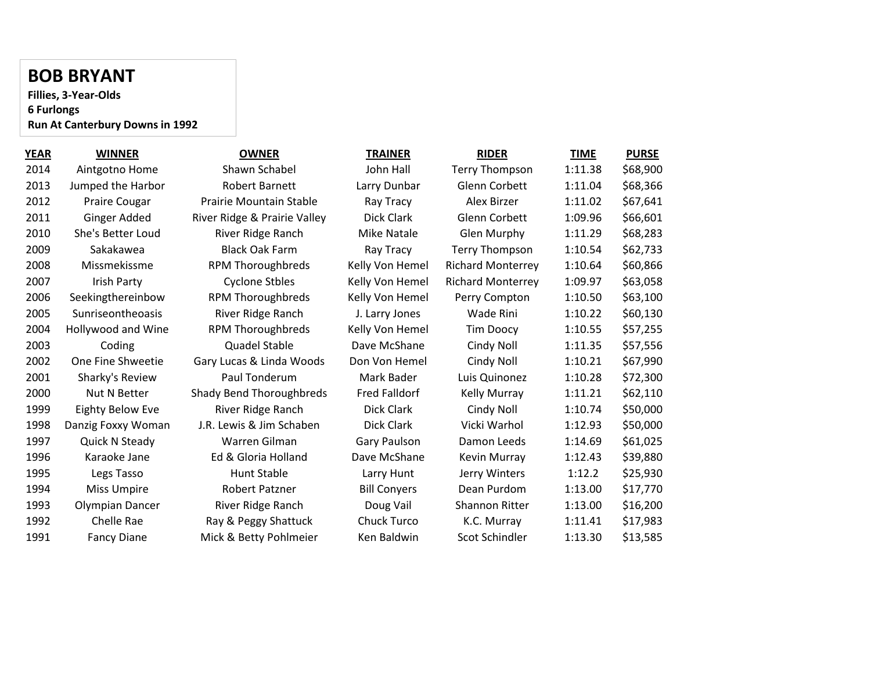#### **BOB BRYANT**

**Fillies, 3-Year-Olds 6 Furlongs Run At Canterbury Downs in 1992**

| <b>YEAR</b> | <b>WINNER</b>           | <b>OWNER</b>                 | <b>TRAINER</b>       | <b>RIDER</b>             | TIME    | <b>PURSE</b> |
|-------------|-------------------------|------------------------------|----------------------|--------------------------|---------|--------------|
| 2014        | Aintgotno Home          | Shawn Schabel                | John Hall            | <b>Terry Thompson</b>    | 1:11.38 | \$68,900     |
| 2013        | Jumped the Harbor       | <b>Robert Barnett</b>        | Larry Dunbar         | Glenn Corbett            | 1:11.04 | \$68,366     |
| 2012        | Praire Cougar           | Prairie Mountain Stable      | Ray Tracy            | Alex Birzer              | 1:11.02 | \$67,641     |
| 2011        | Ginger Added            | River Ridge & Prairie Valley | Dick Clark           | Glenn Corbett            | 1:09.96 | \$66,601     |
| 2010        | She's Better Loud       | River Ridge Ranch            | Mike Natale          | Glen Murphy              | 1:11.29 | \$68,283     |
| 2009        | Sakakawea               | <b>Black Oak Farm</b>        | Ray Tracy            | <b>Terry Thompson</b>    | 1:10.54 | \$62,733     |
| 2008        | Missmekissme            | <b>RPM Thoroughbreds</b>     | Kelly Von Hemel      | <b>Richard Monterrey</b> | 1:10.64 | \$60,866     |
| 2007        | Irish Party             | <b>Cyclone Stbles</b>        | Kelly Von Hemel      | <b>Richard Monterrey</b> | 1:09.97 | \$63,058     |
| 2006        | Seekingthereinbow       | <b>RPM Thoroughbreds</b>     | Kelly Von Hemel      | Perry Compton            | 1:10.50 | \$63,100     |
| 2005        | Sunriseontheoasis       | River Ridge Ranch            | J. Larry Jones       | Wade Rini                | 1:10.22 | \$60,130     |
| 2004        | Hollywood and Wine      | <b>RPM Thoroughbreds</b>     | Kelly Von Hemel      | <b>Tim Doocy</b>         | 1:10.55 | \$57,255     |
| 2003        | Coding                  | <b>Quadel Stable</b>         | Dave McShane         | Cindy Noll               | 1:11.35 | \$57,556     |
| 2002        | One Fine Shweetie       | Gary Lucas & Linda Woods     | Don Von Hemel        | Cindy Noll               | 1:10.21 | \$67,990     |
| 2001        | Sharky's Review         | Paul Tonderum                | Mark Bader           | Luis Quinonez            | 1:10.28 | \$72,300     |
| 2000        | Nut N Better            | Shady Bend Thoroughbreds     | <b>Fred Falldorf</b> | <b>Kelly Murray</b>      | 1:11.21 | \$62,110     |
| 1999        | <b>Eighty Below Eve</b> | River Ridge Ranch            | Dick Clark           | Cindy Noll               | 1:10.74 | \$50,000     |
| 1998        | Danzig Foxxy Woman      | J.R. Lewis & Jim Schaben     | Dick Clark           | Vicki Warhol             | 1:12.93 | \$50,000     |
| 1997        | Quick N Steady          | Warren Gilman                | <b>Gary Paulson</b>  | Damon Leeds              | 1:14.69 | \$61,025     |
| 1996        | Karaoke Jane            | Ed & Gloria Holland          | Dave McShane         | Kevin Murray             | 1:12.43 | \$39,880     |
| 1995        | Legs Tasso              | Hunt Stable                  | Larry Hunt           | Jerry Winters            | 1:12.2  | \$25,930     |
| 1994        | <b>Miss Umpire</b>      | <b>Robert Patzner</b>        | <b>Bill Conyers</b>  | Dean Purdom              | 1:13.00 | \$17,770     |
| 1993        | Olympian Dancer         | River Ridge Ranch            | Doug Vail            | <b>Shannon Ritter</b>    | 1:13.00 | \$16,200     |
| 1992        | Chelle Rae              | Ray & Peggy Shattuck         | Chuck Turco          | K.C. Murray              | 1:11.41 | \$17,983     |
| 1991        | <b>Fancy Diane</b>      | Mick & Betty Pohlmeier       | Ken Baldwin          | Scot Schindler           | 1:13.30 | \$13,585     |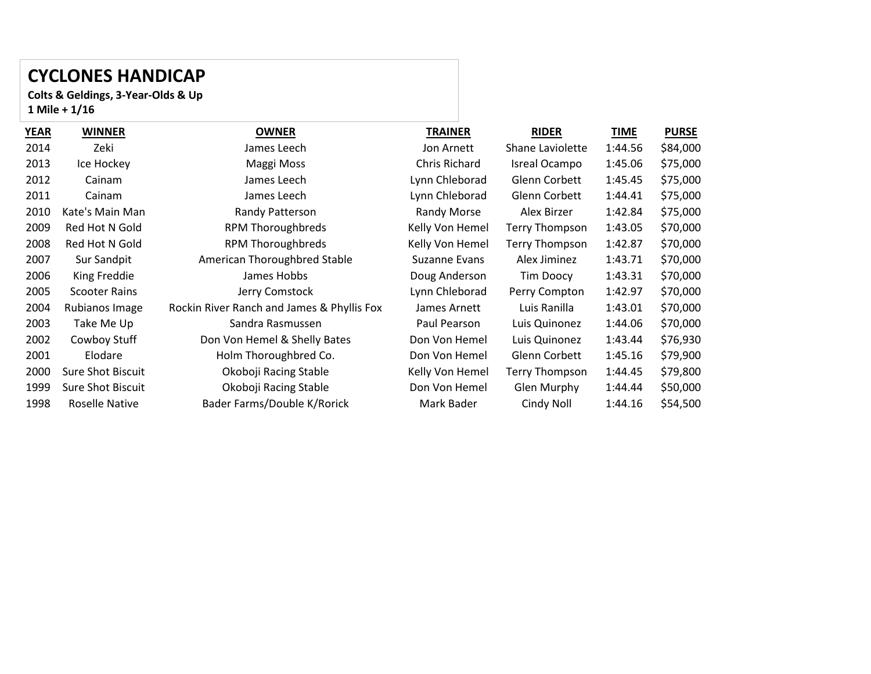## **CYCLONES HANDICAP**

**Colts & Geldings, 3-Year-Olds & Up Mile + 1/16**

| <b>WINNER</b>         | <b>OWNER</b>                               | <b>TRAINER</b>  | <b>RIDER</b>         | <b>TIME</b> | <b>PURSE</b> |
|-----------------------|--------------------------------------------|-----------------|----------------------|-------------|--------------|
| Zeki                  | James Leech                                | Jon Arnett      | Shane Laviolette     | 1:44.56     | \$84,000     |
| Ice Hockey            | Maggi Moss                                 | Chris Richard   | Isreal Ocampo        | 1:45.06     | \$75,000     |
| Cainam                | James Leech                                | Lynn Chleborad  | <b>Glenn Corbett</b> | 1:45.45     | \$75,000     |
| Cainam                | James Leech                                | Lynn Chleborad  | Glenn Corbett        | 1:44.41     | \$75,000     |
| Kate's Main Man       | Randy Patterson                            | Randy Morse     | Alex Birzer          | 1:42.84     | \$75,000     |
| Red Hot N Gold        | <b>RPM Thoroughbreds</b>                   | Kelly Von Hemel | Terry Thompson       | 1:43.05     | \$70,000     |
| Red Hot N Gold        | <b>RPM Thoroughbreds</b>                   | Kelly Von Hemel | Terry Thompson       | 1:42.87     | \$70,000     |
| Sur Sandpit           | American Thoroughbred Stable               | Suzanne Evans   | Alex Jiminez         | 1:43.71     | \$70,000     |
| King Freddie          | James Hobbs                                | Doug Anderson   | Tim Doocy            | 1:43.31     | \$70,000     |
| <b>Scooter Rains</b>  | Jerry Comstock                             | Lynn Chleborad  | Perry Compton        | 1:42.97     | \$70,000     |
| Rubianos Image        | Rockin River Ranch and James & Phyllis Fox | James Arnett    | Luis Ranilla         | 1:43.01     | \$70,000     |
| Take Me Up            | Sandra Rasmussen                           | Paul Pearson    | Luis Quinonez        | 1:44.06     | \$70,000     |
| Cowboy Stuff          | Don Von Hemel & Shelly Bates               | Don Von Hemel   | Luis Quinonez        | 1:43.44     | \$76,930     |
| Elodare               | Holm Thoroughbred Co.                      | Don Von Hemel   | Glenn Corbett        | 1:45.16     | \$79,900     |
| Sure Shot Biscuit     | Okoboji Racing Stable                      | Kelly Von Hemel | Terry Thompson       | 1:44.45     | \$79,800     |
| Sure Shot Biscuit     | Okoboji Racing Stable                      | Don Von Hemel   | Glen Murphy          | 1:44.44     | \$50,000     |
| <b>Roselle Native</b> | Bader Farms/Double K/Rorick                | Mark Bader      | Cindy Noll           | 1:44.16     | \$54,500     |
|                       |                                            |                 |                      |             |              |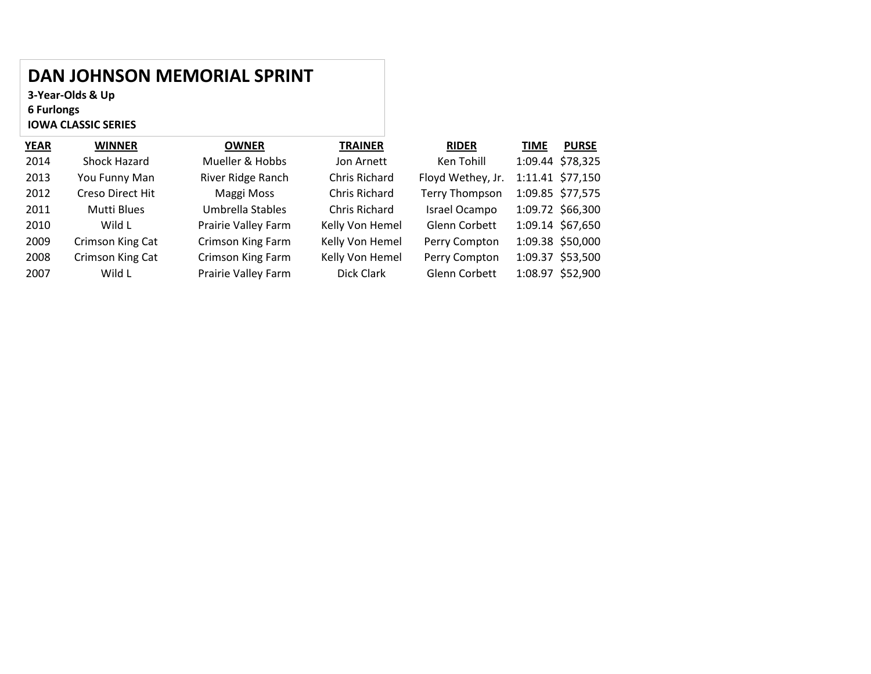## **DAN JOHNSON MEMORIAL SPRINT**

**3-Year-Olds & Up 6 Furlongs IOWA CLASSIC SERIES**

| YEAR | <b>WINNER</b>    | <b>OWNER</b>        | <b>TRAINER</b>  | <b>RIDER</b>          | <b>PURSE</b><br><b>TIME</b> |  |
|------|------------------|---------------------|-----------------|-----------------------|-----------------------------|--|
| 2014 | Shock Hazard     | Mueller & Hobbs     | Jon Arnett      | Ken Tohill            | 1:09.44 \$78,325            |  |
| 2013 | You Funny Man    | River Ridge Ranch   | Chris Richard   | Floyd Wethey, Jr.     | 1:11.41 \$77,150            |  |
| 2012 | Creso Direct Hit | Maggi Moss          | Chris Richard   | <b>Terry Thompson</b> | 1:09.85 \$77,575            |  |
| 2011 | Mutti Blues      | Umbrella Stables    | Chris Richard   | Israel Ocampo         | 1:09.72 \$66,300            |  |
| 2010 | Wild L           | Prairie Valley Farm | Kelly Von Hemel | Glenn Corbett         | 1:09.14 \$67,650            |  |
| 2009 | Crimson King Cat | Crimson King Farm   | Kelly Von Hemel | Perry Compton         | 1:09.38 \$50,000            |  |
| 2008 | Crimson King Cat | Crimson King Farm   | Kelly Von Hemel | Perry Compton         | 1:09.37 \$53,500            |  |
| 2007 | Wild L           | Prairie Valley Farm | Dick Clark      | Glenn Corbett         | 1:08.97 \$52,900            |  |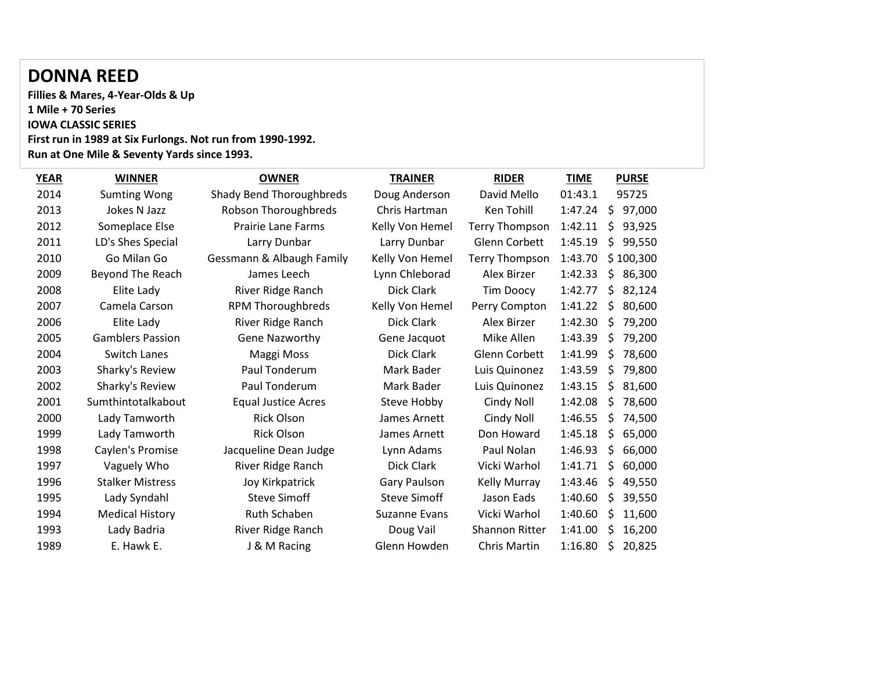#### **DONNA REED**

**Fillies & Mares, 4-Year-Olds & Up Mile + 70 Series IOWA CLASSIC SERIES First run in 1989 at Six Furlongs. Not run from 1990-1992. Run at One Mile & Seventy Yards since 1993.**

| <b>YEAR</b> | <b>WINNER</b>           | <b>OWNER</b>               | <b>TRAINER</b>       | <b>RIDER</b>          | <b>TIME</b> |    | <b>PURSE</b> |
|-------------|-------------------------|----------------------------|----------------------|-----------------------|-------------|----|--------------|
| 2014        | <b>Sumting Wong</b>     | Shady Bend Thoroughbreds   | Doug Anderson        | David Mello           | 01:43.1     |    | 95725        |
| 2013        | Jokes N Jazz            | Robson Thoroughbreds       | Chris Hartman        | Ken Tohill            | 1:47.24     | \$ | 97,000       |
| 2012        | Someplace Else          | <b>Prairie Lane Farms</b>  | Kelly Von Hemel      | <b>Terry Thompson</b> | 1:42.11     | \$ | 93,925       |
| 2011        | LD's Shes Special       | Larry Dunbar               | Larry Dunbar         | Glenn Corbett         | 1:45.19     | \$ | 99,550       |
| 2010        | Go Milan Go             | Gessmann & Albaugh Family  | Kelly Von Hemel      | <b>Terry Thompson</b> | 1:43.70     |    | \$100,300    |
| 2009        | Beyond The Reach        | James Leech                | Lynn Chleborad       | Alex Birzer           | 1:42.33     | \$ | 86,300       |
| 2008        | Elite Lady              | River Ridge Ranch          | Dick Clark           | <b>Tim Doocy</b>      | 1:42.77     | \$ | 82,124       |
| 2007        | Camela Carson           | <b>RPM Thoroughbreds</b>   | Kelly Von Hemel      | Perry Compton         | 1:41.22     | \$ | 80,600       |
| 2006        | Elite Lady              | River Ridge Ranch          | Dick Clark           | Alex Birzer           | 1:42.30     | \$ | 79,200       |
| 2005        | <b>Gamblers Passion</b> | <b>Gene Nazworthy</b>      | Gene Jacquot         | Mike Allen            | 1:43.39     | \$ | 79,200       |
| 2004        | <b>Switch Lanes</b>     | Maggi Moss                 | Dick Clark           | Glenn Corbett         | 1:41.99     | \$ | 78,600       |
| 2003        | Sharky's Review         | Paul Tonderum              | Mark Bader           | Luis Quinonez         | 1:43.59     | \$ | 79,800       |
| 2002        | Sharky's Review         | Paul Tonderum              | Mark Bader           | Luis Quinonez         | 1:43.15     | \$ | 81,600       |
| 2001        | Sumthintotalkabout      | <b>Equal Justice Acres</b> | Steve Hobby          | Cindy Noll            | 1:42.08     | S  | 78,600       |
| 2000        | Lady Tamworth           | <b>Rick Olson</b>          | James Arnett         | Cindy Noll            | 1:46.55     | S. | 74,500       |
| 1999        | Lady Tamworth           | <b>Rick Olson</b>          | James Arnett         | Don Howard            | 1:45.18     | \$ | 65,000       |
| 1998        | Caylen's Promise        | Jacqueline Dean Judge      | Lynn Adams           | Paul Nolan            | 1:46.93     | \$ | 66,000       |
| 1997        | Vaguely Who             | River Ridge Ranch          | Dick Clark           | Vicki Warhol          | 1:41.71     | \$ | 60,000       |
| 1996        | <b>Stalker Mistress</b> | Joy Kirkpatrick            | Gary Paulson         | <b>Kelly Murray</b>   | 1:43.46     | \$ | 49,550       |
| 1995        | Lady Syndahl            | <b>Steve Simoff</b>        | <b>Steve Simoff</b>  | Jason Eads            | 1:40.60     | \$ | 39,550       |
| 1994        | <b>Medical History</b>  | <b>Ruth Schaben</b>        | <b>Suzanne Evans</b> | Vicki Warhol          | 1:40.60     | S  | 11,600       |
| 1993        | Lady Badria             | River Ridge Ranch          | Doug Vail            | <b>Shannon Ritter</b> | 1:41.00     | S  | 16,200       |
| 1989        | E. Hawk E.              | J & M Racing               | Glenn Howden         | Chris Martin          | 1:16.80     | \$ | 20,825       |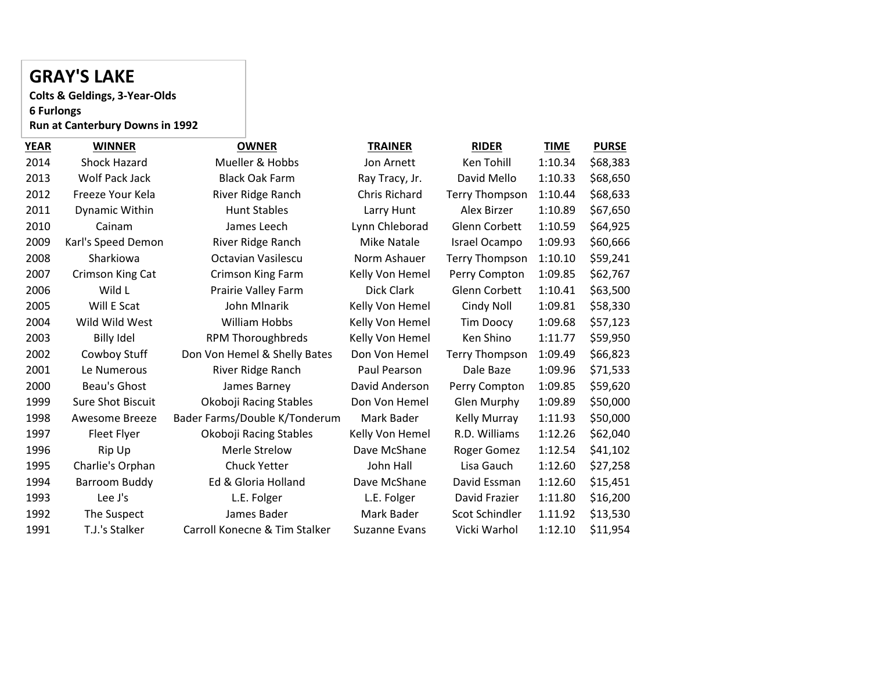# **GRAY'S LAKE**

**Colts & Geldings, 3-Year-Olds 6 Furlongs Run at Canterbury Downs in 1992**

| <b>WINNER</b>            | <b>OWNER</b>                  | <b>TRAINER</b>       | <b>RIDER</b>          | <b>TIME</b> | <b>PURSE</b> |
|--------------------------|-------------------------------|----------------------|-----------------------|-------------|--------------|
| Shock Hazard             | Mueller & Hobbs               | Jon Arnett           | Ken Tohill            | 1:10.34     | \$68,383     |
| <b>Wolf Pack Jack</b>    | <b>Black Oak Farm</b>         | Ray Tracy, Jr.       | David Mello           | 1:10.33     | \$68,650     |
| Freeze Your Kela         | River Ridge Ranch             | Chris Richard        | <b>Terry Thompson</b> | 1:10.44     | \$68,633     |
| <b>Dynamic Within</b>    | <b>Hunt Stables</b>           | Larry Hunt           | Alex Birzer           | 1:10.89     | \$67,650     |
| Cainam                   | James Leech                   | Lynn Chleborad       | Glenn Corbett         | 1:10.59     | \$64,925     |
| Karl's Speed Demon       | River Ridge Ranch             | <b>Mike Natale</b>   | Israel Ocampo         | 1:09.93     | \$60,666     |
| Sharkiowa                | Octavian Vasilescu            | Norm Ashauer         | <b>Terry Thompson</b> | 1:10.10     | \$59,241     |
| Crimson King Cat         | <b>Crimson King Farm</b>      | Kelly Von Hemel      | Perry Compton         | 1:09.85     | \$62,767     |
| Wild L                   | Prairie Valley Farm           | Dick Clark           | <b>Glenn Corbett</b>  | 1:10.41     | \$63,500     |
| Will E Scat              | John Mlnarik                  | Kelly Von Hemel      | Cindy Noll            | 1:09.81     | \$58,330     |
| Wild Wild West           | <b>William Hobbs</b>          | Kelly Von Hemel      | <b>Tim Doocy</b>      | 1:09.68     | \$57,123     |
| <b>Billy Idel</b>        | <b>RPM Thoroughbreds</b>      | Kelly Von Hemel      | Ken Shino             | 1:11.77     | \$59,950     |
| Cowboy Stuff             | Don Von Hemel & Shelly Bates  | Don Von Hemel        | <b>Terry Thompson</b> | 1:09.49     | \$66,823     |
| Le Numerous              | River Ridge Ranch             | Paul Pearson         | Dale Baze             | 1:09.96     | \$71,533     |
| Beau's Ghost             | James Barney                  | David Anderson       | Perry Compton         | 1:09.85     | \$59,620     |
| <b>Sure Shot Biscuit</b> | Okoboji Racing Stables        | Don Von Hemel        | Glen Murphy           | 1:09.89     | \$50,000     |
| Awesome Breeze           | Bader Farms/Double K/Tonderum | Mark Bader           | Kelly Murray          | 1:11.93     | \$50,000     |
| Fleet Flyer              | Okoboji Racing Stables        | Kelly Von Hemel      | R.D. Williams         | 1:12.26     | \$62,040     |
| Rip Up                   | Merle Strelow                 | Dave McShane         | Roger Gomez           | 1:12.54     | \$41,102     |
| Charlie's Orphan         | <b>Chuck Yetter</b>           | John Hall            | Lisa Gauch            | 1:12.60     | \$27,258     |
| Barroom Buddy            | Ed & Gloria Holland           | Dave McShane         | David Essman          | 1:12.60     | \$15,451     |
| Lee J's                  | L.E. Folger                   | L.E. Folger          | David Frazier         | 1:11.80     | \$16,200     |
| The Suspect              | James Bader                   | Mark Bader           | Scot Schindler        | 1.11.92     | \$13,530     |
| T.J.'s Stalker           | Carroll Konecne & Tim Stalker | <b>Suzanne Evans</b> | Vicki Warhol          | 1:12.10     | \$11,954     |
|                          |                               |                      |                       |             |              |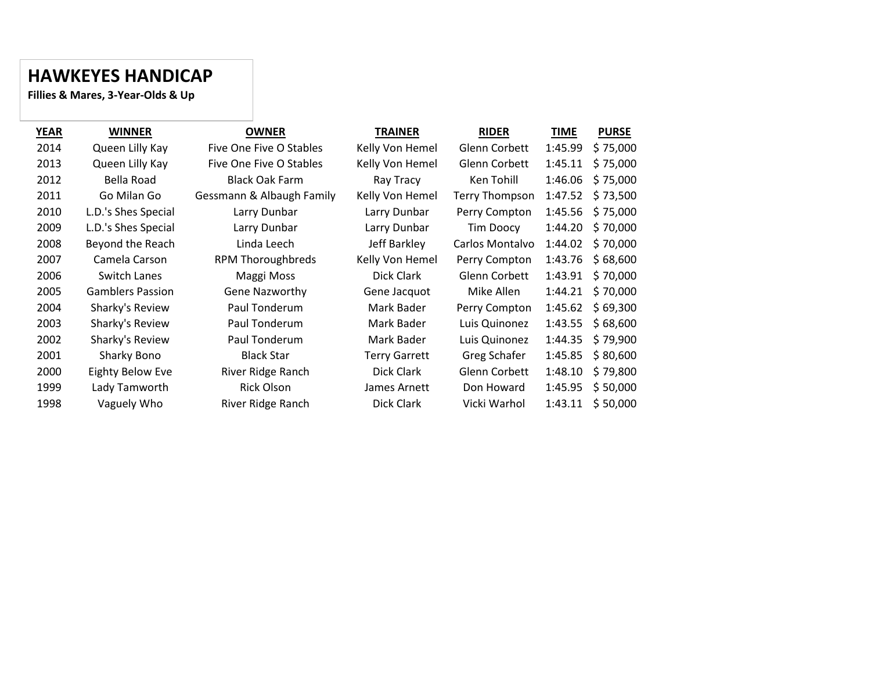#### **HAWKEYES HANDICAP**

**Fillies & Mares, 3-Year-Olds & Up**

| <b>YEAR</b> | <b>WINNER</b>           | <b>OWNER</b>              | <b>TRAINER</b>       | <b>RIDER</b>          | <b>TIME</b> | <b>PURSE</b> |
|-------------|-------------------------|---------------------------|----------------------|-----------------------|-------------|--------------|
| 2014        | Queen Lilly Kay         | Five One Five O Stables   | Kelly Von Hemel      | Glenn Corbett         | 1:45.99     | \$75,000     |
| 2013        | Queen Lilly Kay         | Five One Five O Stables   | Kelly Von Hemel      | Glenn Corbett         | 1:45.11     | \$75,000     |
| 2012        | Bella Road              | <b>Black Oak Farm</b>     | Ray Tracy            | Ken Tohill            | 1:46.06     | \$75,000     |
| 2011        | Go Milan Go             | Gessmann & Albaugh Family | Kelly Von Hemel      | <b>Terry Thompson</b> | 1:47.52     | \$73,500     |
| 2010        | L.D.'s Shes Special     | Larry Dunbar              | Larry Dunbar         | Perry Compton         | 1:45.56     | \$75,000     |
| 2009        | L.D.'s Shes Special     | Larry Dunbar              | Larry Dunbar         | Tim Doocy             | 1:44.20     | \$70,000     |
| 2008        | Beyond the Reach        | Linda Leech               | Jeff Barkley         | Carlos Montalvo       | 1:44.02     | \$70,000     |
| 2007        | Camela Carson           | <b>RPM Thoroughbreds</b>  | Kelly Von Hemel      | Perry Compton         | 1:43.76     | \$68,600     |
| 2006        | Switch Lanes            | Maggi Moss                | Dick Clark           | <b>Glenn Corbett</b>  | 1:43.91     | \$70,000     |
| 2005        | <b>Gamblers Passion</b> | <b>Gene Nazworthy</b>     | Gene Jacquot         | Mike Allen            | 1:44.21     | \$70,000     |
| 2004        | Sharky's Review         | Paul Tonderum             | Mark Bader           | Perry Compton         | 1:45.62     | \$69,300     |
| 2003        | Sharky's Review         | Paul Tonderum             | Mark Bader           | Luis Quinonez         | 1:43.55     | \$68,600     |
| 2002        | Sharky's Review         | Paul Tonderum             | Mark Bader           | Luis Quinonez         | 1:44.35     | \$79,900     |
| 2001        | Sharky Bono             | <b>Black Star</b>         | <b>Terry Garrett</b> | Greg Schafer          | 1:45.85     | \$80,600     |
| 2000        | Eighty Below Eve        | River Ridge Ranch         | Dick Clark           | Glenn Corbett         | 1:48.10     | \$79,800     |
| 1999        | Lady Tamworth           | <b>Rick Olson</b>         | James Arnett         | Don Howard            | 1:45.95     | \$50,000     |
| 1998        | Vaguely Who             | River Ridge Ranch         | Dick Clark           | Vicki Warhol          | 1:43.11     | \$50,000     |
|             |                         |                           |                      |                       |             |              |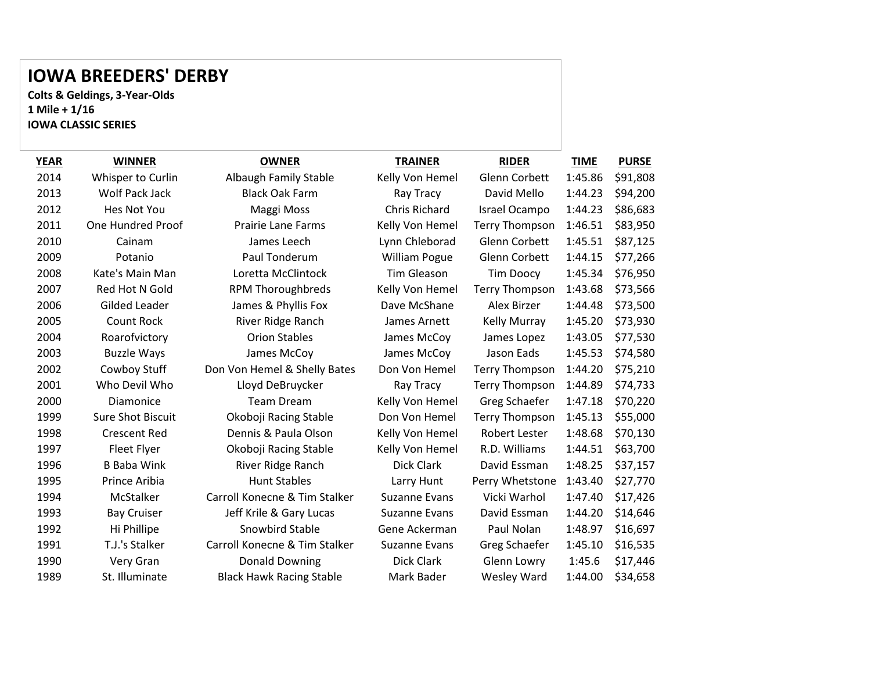### **IOWA BREEDERS' DERBY**

**Colts & Geldings, 3-Year-Olds 1 Mile + 1/16 IOWA CLASSIC SERIES**

| <b>YEAR</b> | <b>WINNER</b>            | <b>OWNER</b>                    | <b>TRAINER</b>       | <b>RIDER</b>          | <b>TIME</b> | <b>PURSE</b> |
|-------------|--------------------------|---------------------------------|----------------------|-----------------------|-------------|--------------|
| 2014        | Whisper to Curlin        | <b>Albaugh Family Stable</b>    | Kelly Von Hemel      | Glenn Corbett         | 1:45.86     | \$91,808     |
| 2013        | Wolf Pack Jack           | <b>Black Oak Farm</b>           | Ray Tracy            | David Mello           | 1:44.23     | \$94,200     |
| 2012        | Hes Not You              | Maggi Moss                      | Chris Richard        | Israel Ocampo         | 1:44.23     | \$86,683     |
| 2011        | One Hundred Proof        | <b>Prairie Lane Farms</b>       | Kelly Von Hemel      | <b>Terry Thompson</b> | 1:46.51     | \$83,950     |
| 2010        | Cainam                   | James Leech                     | Lynn Chleborad       | Glenn Corbett         | 1:45.51     | \$87,125     |
| 2009        | Potanio                  | Paul Tonderum                   | <b>William Pogue</b> | Glenn Corbett         | 1:44.15     | \$77,266     |
| 2008        | Kate's Main Man          | Loretta McClintock              | <b>Tim Gleason</b>   | <b>Tim Doocy</b>      | 1:45.34     | \$76,950     |
| 2007        | Red Hot N Gold           | <b>RPM Thoroughbreds</b>        | Kelly Von Hemel      | <b>Terry Thompson</b> | 1:43.68     | \$73,566     |
| 2006        | Gilded Leader            | James & Phyllis Fox             | Dave McShane         | Alex Birzer           | 1:44.48     | \$73,500     |
| 2005        | <b>Count Rock</b>        | River Ridge Ranch               | James Arnett         | <b>Kelly Murray</b>   | 1:45.20     | \$73,930     |
| 2004        | Roarofvictory            | <b>Orion Stables</b>            | James McCoy          | James Lopez           | 1:43.05     | \$77,530     |
| 2003        | <b>Buzzle Ways</b>       | James McCoy                     | James McCoy          | Jason Eads            | 1:45.53     | \$74,580     |
| 2002        | Cowboy Stuff             | Don Von Hemel & Shelly Bates    | Don Von Hemel        | <b>Terry Thompson</b> | 1:44.20     | \$75,210     |
| 2001        | Who Devil Who            | Lloyd DeBruycker                | Ray Tracy            | <b>Terry Thompson</b> | 1:44.89     | \$74,733     |
| 2000        | Diamonice                | <b>Team Dream</b>               | Kelly Von Hemel      | Greg Schaefer         | 1:47.18     | \$70,220     |
| 1999        | <b>Sure Shot Biscuit</b> | Okoboji Racing Stable           | Don Von Hemel        | <b>Terry Thompson</b> | 1:45.13     | \$55,000     |
| 1998        | <b>Crescent Red</b>      | Dennis & Paula Olson            | Kelly Von Hemel      | Robert Lester         | 1:48.68     | \$70,130     |
| 1997        | Fleet Flyer              | Okoboji Racing Stable           | Kelly Von Hemel      | R.D. Williams         | 1:44.51     | \$63,700     |
| 1996        | <b>B</b> Baba Wink       | River Ridge Ranch               | Dick Clark           | David Essman          | 1:48.25     | \$37,157     |
| 1995        | Prince Aribia            | <b>Hunt Stables</b>             | Larry Hunt           | Perry Whetstone       | 1:43.40     | \$27,770     |
| 1994        | McStalker                | Carroll Konecne & Tim Stalker   | Suzanne Evans        | Vicki Warhol          | 1:47.40     | \$17,426     |
| 1993        | <b>Bay Cruiser</b>       | Jeff Krile & Gary Lucas         | <b>Suzanne Evans</b> | David Essman          | 1:44.20     | \$14,646     |
| 1992        | Hi Phillipe              | Snowbird Stable                 | Gene Ackerman        | Paul Nolan            | 1:48.97     | \$16,697     |
| 1991        | T.J.'s Stalker           | Carroll Konecne & Tim Stalker   | <b>Suzanne Evans</b> | Greg Schaefer         | 1:45.10     | \$16,535     |
| 1990        | Very Gran                | <b>Donald Downing</b>           | <b>Dick Clark</b>    | Glenn Lowry           | 1:45.6      | \$17,446     |
| 1989        | St. Illuminate           | <b>Black Hawk Racing Stable</b> | Mark Bader           | Wesley Ward           | 1:44.00     | \$34,658     |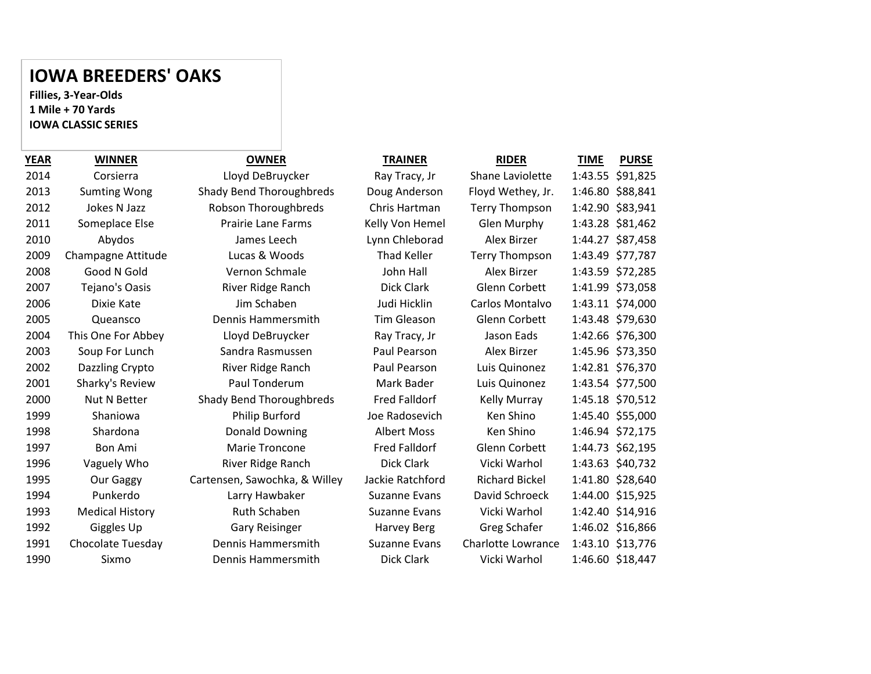#### **IOWA BREEDERS' OAKS**

**Fillies, 3-Year-Olds 1 Mile + 70 Yards IOWA CLASSIC SERIES**

| 014  | Corsierra              |
|------|------------------------|
| 2013 | <b>Sumting Wong</b>    |
| 2012 | <b>Jokes N Jazz</b>    |
| 1011 | Someplace Else         |
| 2010 | Abydos                 |
| :009 | Champagne Attitude     |
| 2008 | Good N Gold            |
| 2007 | Tejano's Oasis         |
| :006 | Dixie Kate             |
| :005 | Queansco               |
| :004 | This One For Abbey     |
| 2003 | Soup For Lunch         |
| .002 | Dazzling Crypto        |
| 001  | Sharky's Review        |
| 000  | Nut N Better           |
| .999 | Shaniowa               |
| .998 | Shardona               |
| .997 | Bon Ami                |
| .996 | Vaguely Who            |
| .995 | Our Gaggy              |
| .994 | Punkerdo               |
| .993 | <b>Medical History</b> |
| .992 | Giggles Up             |
| .991 | Chocolate Tuesday      |
| .990 | Sixmo                  |
|      |                        |

| YEAR | <b>WINNER</b>          | <b>OWNER</b>                    | <b>TRAINER</b>       | <b>RIDER</b>              | <b>TIME</b> | <b>PURSE</b>     |
|------|------------------------|---------------------------------|----------------------|---------------------------|-------------|------------------|
| 2014 | Corsierra              | Lloyd DeBruycker                | Ray Tracy, Jr        | Shane Laviolette          |             | 1:43.55 \$91,825 |
| 2013 | <b>Sumting Wong</b>    | Shady Bend Thoroughbreds        | Doug Anderson        | Floyd Wethey, Jr.         |             | 1:46.80 \$88,841 |
| 2012 | Jokes N Jazz           | Robson Thoroughbreds            | Chris Hartman        | <b>Terry Thompson</b>     |             | 1:42.90 \$83,941 |
| 2011 | Someplace Else         | <b>Prairie Lane Farms</b>       | Kelly Von Hemel      | Glen Murphy               |             | 1:43.28 \$81,462 |
| 2010 | Abydos                 | James Leech                     | Lynn Chleborad       | Alex Birzer               |             | 1:44.27 \$87,458 |
| 2009 | Champagne Attitude     | Lucas & Woods                   | <b>Thad Keller</b>   | <b>Terry Thompson</b>     |             | 1:43.49 \$77,787 |
| 2008 | Good N Gold            | Vernon Schmale                  | John Hall            | Alex Birzer               |             | 1:43.59 \$72,285 |
| 2007 | Tejano's Oasis         | River Ridge Ranch               | Dick Clark           | Glenn Corbett             |             | 1:41.99 \$73,058 |
| 2006 | Dixie Kate             | Jim Schaben                     | Judi Hicklin         | Carlos Montalvo           |             | 1:43.11 \$74,000 |
| 2005 | Queansco               | Dennis Hammersmith              | Tim Gleason          | Glenn Corbett             |             | 1:43.48 \$79,630 |
| 2004 | This One For Abbey     | Lloyd DeBruycker                | Ray Tracy, Jr        | Jason Eads                |             | 1:42.66 \$76,300 |
| 2003 | Soup For Lunch         | Sandra Rasmussen                | Paul Pearson         | Alex Birzer               |             | 1:45.96 \$73,350 |
| 2002 | Dazzling Crypto        | River Ridge Ranch               | Paul Pearson         | Luis Quinonez             |             | 1:42.81 \$76,370 |
| 2001 | Sharky's Review        | Paul Tonderum                   | Mark Bader           | Luis Quinonez             |             | 1:43.54 \$77,500 |
| 2000 | Nut N Better           | <b>Shady Bend Thoroughbreds</b> | <b>Fred Falldorf</b> | Kelly Murray              |             | 1:45.18 \$70,512 |
| 1999 | Shaniowa               | Philip Burford                  | Joe Radosevich       | Ken Shino                 |             | 1:45.40 \$55,000 |
| 1998 | Shardona               | <b>Donald Downing</b>           | <b>Albert Moss</b>   | Ken Shino                 |             | 1:46.94 \$72,175 |
| 1997 | <b>Bon Ami</b>         | <b>Marie Troncone</b>           | <b>Fred Falldorf</b> | Glenn Corbett             |             | 1:44.73 \$62,195 |
| 1996 | Vaguely Who            | River Ridge Ranch               | <b>Dick Clark</b>    | Vicki Warhol              |             | 1:43.63 \$40,732 |
| 1995 | Our Gaggy              | Cartensen, Sawochka, & Willey   | Jackie Ratchford     | <b>Richard Bickel</b>     |             | 1:41.80 \$28,640 |
| 1994 | Punkerdo               | Larry Hawbaker                  | <b>Suzanne Evans</b> | David Schroeck            |             | 1:44.00 \$15,925 |
| 1993 | <b>Medical History</b> | Ruth Schaben                    | <b>Suzanne Evans</b> | Vicki Warhol              |             | 1:42.40 \$14,916 |
| 1992 | Giggles Up             | <b>Gary Reisinger</b>           | <b>Harvey Berg</b>   | Greg Schafer              |             | 1:46.02 \$16,866 |
| 1991 | Chocolate Tuesday      | Dennis Hammersmith              | <b>Suzanne Evans</b> | <b>Charlotte Lowrance</b> |             | 1:43.10 \$13,776 |
| 1990 | Sixmo                  | Dennis Hammersmith              | Dick Clark           | Vicki Warhol              |             | 1:46.60 \$18,447 |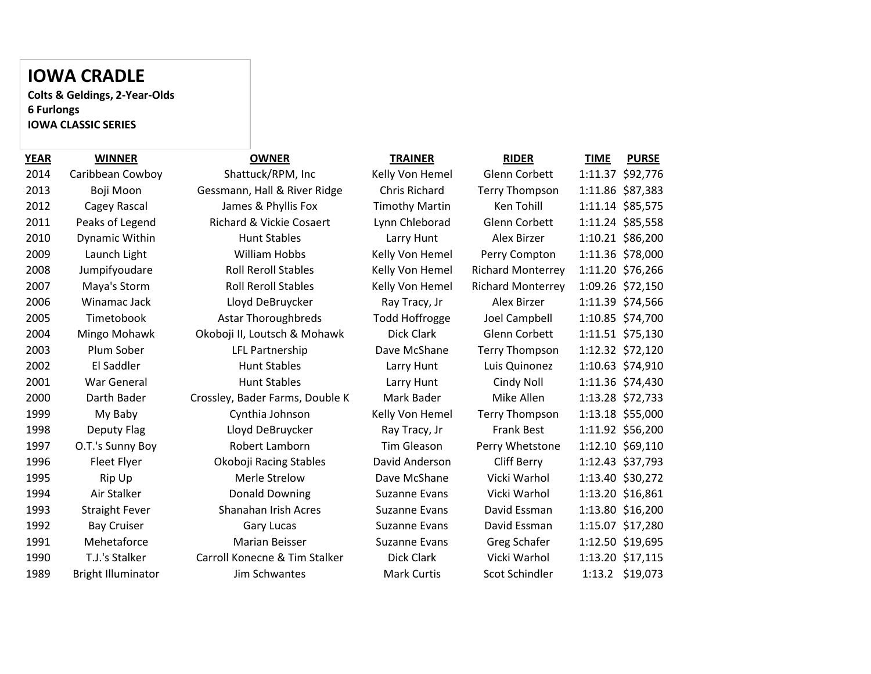### **IOWA CRADLE**

**Colts & Geldings, 2-Year-Olds 6 Furlongs IOWA CLASSIC SERIES**

| <b>YEAR</b> | <b>WINNER</b>             | <b>OWNER</b>                        | <b>TRAINER</b>        | <b>RIDER</b>             | <b>TIME</b> | <b>PURSE</b>     |
|-------------|---------------------------|-------------------------------------|-----------------------|--------------------------|-------------|------------------|
| 2014        | Caribbean Cowboy          | Shattuck/RPM, Inc                   | Kelly Von Hemel       | Glenn Corbett            |             | 1:11.37 \$92,776 |
| 2013        | Boji Moon                 | Gessmann, Hall & River Ridge        | Chris Richard         | <b>Terry Thompson</b>    |             | 1:11.86 \$87,383 |
| 2012        | Cagey Rascal              | James & Phyllis Fox                 | <b>Timothy Martin</b> | Ken Tohill               |             | 1:11.14 \$85,575 |
| 2011        | Peaks of Legend           | <b>Richard &amp; Vickie Cosaert</b> | Lynn Chleborad        | Glenn Corbett            |             | 1:11.24 \$85,558 |
| 2010        | Dynamic Within            | <b>Hunt Stables</b>                 | Larry Hunt            | Alex Birzer              |             | 1:10.21 \$86,200 |
| 2009        | Launch Light              | William Hobbs                       | Kelly Von Hemel       | Perry Compton            |             | 1:11.36 \$78,000 |
| 2008        | Jumpifyoudare             | <b>Roll Reroll Stables</b>          | Kelly Von Hemel       | <b>Richard Monterrey</b> |             | 1:11.20 \$76,266 |
| 2007        | Maya's Storm              | <b>Roll Reroll Stables</b>          | Kelly Von Hemel       | <b>Richard Monterrey</b> |             | 1:09.26 \$72,150 |
| 2006        | Winamac Jack              | Lloyd DeBruycker                    | Ray Tracy, Jr         | Alex Birzer              |             | 1:11.39 \$74,566 |
| 2005        | Timetobook                | <b>Astar Thoroughbreds</b>          | <b>Todd Hoffrogge</b> | Joel Campbell            |             | 1:10.85 \$74,700 |
| 2004        | Mingo Mohawk              | Okoboji II, Loutsch & Mohawk        | Dick Clark            | Glenn Corbett            |             | 1:11.51 \$75,130 |
| 2003        | Plum Sober                | LFL Partnership                     | Dave McShane          | <b>Terry Thompson</b>    |             | 1:12.32 \$72,120 |
| 2002        | El Saddler                | <b>Hunt Stables</b>                 | Larry Hunt            | Luis Quinonez            |             | 1:10.63 \$74,910 |
| 2001        | <b>War General</b>        | <b>Hunt Stables</b>                 | Larry Hunt            | Cindy Noll               |             | 1:11.36 \$74,430 |
| 2000        | Darth Bader               | Crossley, Bader Farms, Double K     | Mark Bader            | Mike Allen               |             | 1:13.28 \$72,733 |
| 1999        | My Baby                   | Cynthia Johnson                     | Kelly Von Hemel       | <b>Terry Thompson</b>    |             | 1:13.18 \$55,000 |
| 1998        | Deputy Flag               | Lloyd DeBruycker                    | Ray Tracy, Jr         | <b>Frank Best</b>        |             | 1:11.92 \$56,200 |
| 1997        | O.T.'s Sunny Boy          | Robert Lamborn                      | <b>Tim Gleason</b>    | Perry Whetstone          |             | 1:12.10 \$69,110 |
| 1996        | Fleet Flyer               | Okoboji Racing Stables              | David Anderson        | Cliff Berry              |             | 1:12.43 \$37,793 |
| 1995        | Rip Up                    | Merle Strelow                       | Dave McShane          | Vicki Warhol             |             | 1:13.40 \$30,272 |
| 1994        | Air Stalker               | <b>Donald Downing</b>               | Suzanne Evans         | Vicki Warhol             |             | 1:13.20 \$16,861 |
| 1993        | <b>Straight Fever</b>     | Shanahan Irish Acres                | <b>Suzanne Evans</b>  | David Essman             |             | 1:13.80 \$16,200 |
| 1992        | <b>Bay Cruiser</b>        | <b>Gary Lucas</b>                   | <b>Suzanne Evans</b>  | David Essman             |             | 1:15.07 \$17,280 |
| 1991        | Mehetaforce               | Marian Beisser                      | <b>Suzanne Evans</b>  | <b>Greg Schafer</b>      |             | 1:12.50 \$19,695 |
| 1990        | T.J.'s Stalker            | Carroll Konecne & Tim Stalker       | Dick Clark            | Vicki Warhol             |             | 1:13.20 \$17,115 |
| 1989        | <b>Bright Illuminator</b> | Jim Schwantes                       | <b>Mark Curtis</b>    | Scot Schindler           |             | 1:13.2 \$19,073  |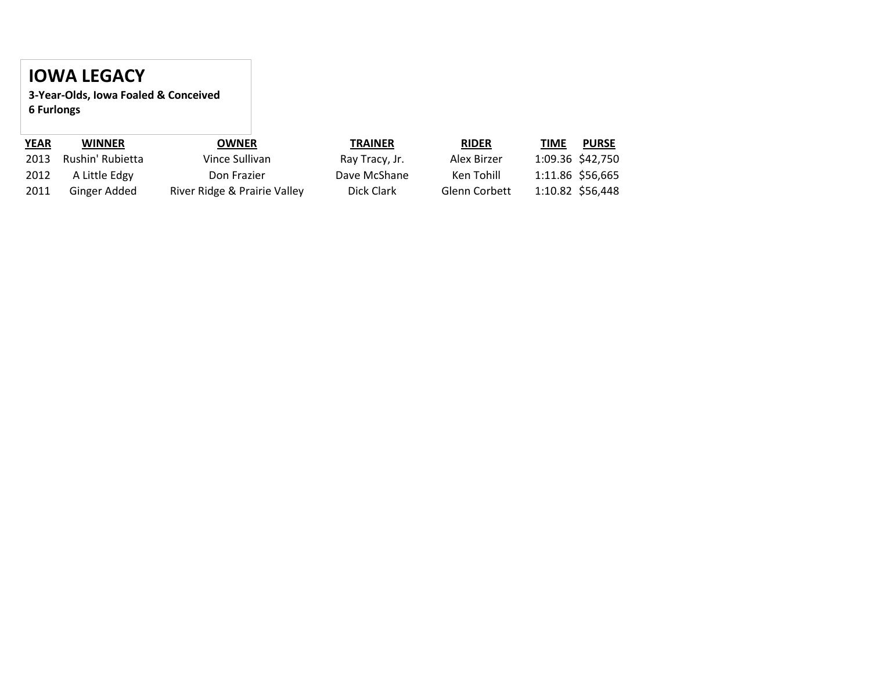## **IOWA LEGACY**

**3-Year-Olds, Iowa Foaled & Conceived 6 Furlongs**

| <b>YEAR</b> | <b>WINNER</b>    | <b>OWNER</b>                 | TRAINER        | <b>RIDER</b>         | TIME<br><b>PURSE</b> |
|-------------|------------------|------------------------------|----------------|----------------------|----------------------|
| 2013        | Rushin' Rubietta | Vince Sullivan               | Ray Tracy, Jr. | Alex Birzer          | 1:09.36 \$42,750     |
| 2012        | A Little Edgy    | Don Frazier                  | Dave McShane   | Ken Tohill           | 1:11.86 \$56,665     |
| 2011        | Ginger Added     | River Ridge & Prairie Valley | Dick Clark     | <b>Glenn Corbett</b> | 1:10.82 \$56,448     |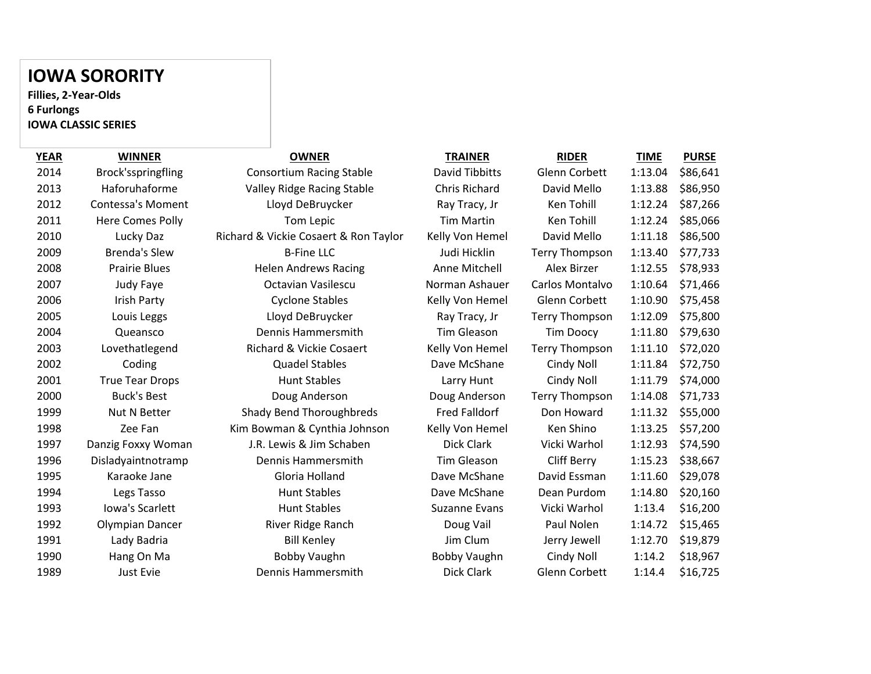## **IOWA SORORITY**

**Fillies, 2-Year-Olds 6 Furlongs IOWA CLASSIC SERIES**

| <b>YEAR</b> | <b>WINNER</b>            | <b>OWNER</b>                          | <b>TRAINER</b>        | <b>RIDER</b>          | <u>TIME</u> | <b>PURSE</b> |
|-------------|--------------------------|---------------------------------------|-----------------------|-----------------------|-------------|--------------|
| 2014        | Brock'sspringfling       | <b>Consortium Racing Stable</b>       | <b>David Tibbitts</b> | Glenn Corbett         | 1:13.04     | \$86,641     |
| 2013        | Haforuhaforme            | Valley Ridge Racing Stable            | Chris Richard         | David Mello           | 1:13.88     | \$86,950     |
| 2012        | <b>Contessa's Moment</b> | Lloyd DeBruycker                      | Ray Tracy, Jr         | Ken Tohill            | 1:12.24     | \$87,266     |
| 2011        | Here Comes Polly         | Tom Lepic                             | <b>Tim Martin</b>     | Ken Tohill            | 1:12.24     | \$85,066     |
| 2010        | Lucky Daz                | Richard & Vickie Cosaert & Ron Taylor | Kelly Von Hemel       | David Mello           | 1:11.18     | \$86,500     |
| 2009        | <b>Brenda's Slew</b>     | <b>B-Fine LLC</b>                     | Judi Hicklin          | <b>Terry Thompson</b> | 1:13.40     | \$77,733     |
| 2008        | <b>Prairie Blues</b>     | <b>Helen Andrews Racing</b>           | Anne Mitchell         | Alex Birzer           | 1:12.55     | \$78,933     |
| 2007        | Judy Faye                | <b>Octavian Vasilescu</b>             | Norman Ashauer        | Carlos Montalvo       | 1:10.64     | \$71,466     |
| 2006        | Irish Party              | <b>Cyclone Stables</b>                | Kelly Von Hemel       | Glenn Corbett         | 1:10.90     | \$75,458     |
| 2005        | Louis Leggs              | Lloyd DeBruycker                      | Ray Tracy, Jr         | <b>Terry Thompson</b> | 1:12.09     | \$75,800     |
| 2004        | Queansco                 | Dennis Hammersmith                    | Tim Gleason           | <b>Tim Doocy</b>      | 1:11.80     | \$79,630     |
| 2003        | Lovethatlegend           | Richard & Vickie Cosaert              | Kelly Von Hemel       | <b>Terry Thompson</b> | 1:11.10     | \$72,020     |
| 2002        | Coding                   | <b>Quadel Stables</b>                 | Dave McShane          | Cindy Noll            | 1:11.84     | \$72,750     |
| 2001        | <b>True Tear Drops</b>   | <b>Hunt Stables</b>                   | Larry Hunt            | Cindy Noll            | 1:11.79     | \$74,000     |
| 2000        | <b>Buck's Best</b>       | Doug Anderson                         | Doug Anderson         | <b>Terry Thompson</b> | 1:14.08     | \$71,733     |
| 1999        | Nut N Better             | <b>Shady Bend Thoroughbreds</b>       | <b>Fred Falldorf</b>  | Don Howard            | 1:11.32     | \$55,000     |
| 1998        | Zee Fan                  | Kim Bowman & Cynthia Johnson          | Kelly Von Hemel       | Ken Shino             | 1:13.25     | \$57,200     |
| 1997        | Danzig Foxxy Woman       | J.R. Lewis & Jim Schaben              | Dick Clark            | Vicki Warhol          | 1:12.93     | \$74,590     |
| 1996        | Disladyaintnotramp       | Dennis Hammersmith                    | <b>Tim Gleason</b>    | <b>Cliff Berry</b>    | 1:15.23     | \$38,667     |
| 1995        | Karaoke Jane             | Gloria Holland                        | Dave McShane          | David Essman          | 1:11.60     | \$29,078     |
| 1994        | Legs Tasso               | <b>Hunt Stables</b>                   | Dave McShane          | Dean Purdom           | 1:14.80     | \$20,160     |
| 1993        | Iowa's Scarlett          | <b>Hunt Stables</b>                   | <b>Suzanne Evans</b>  | Vicki Warhol          | 1:13.4      | \$16,200     |
| 1992        | Olympian Dancer          | River Ridge Ranch                     | Doug Vail             | Paul Nolen            | 1:14.72     | \$15,465     |
| 1991        | Lady Badria              | <b>Bill Kenley</b>                    | Jim Clum              | Jerry Jewell          | 1:12.70     | \$19,879     |
| 1990        | Hang On Ma               | Bobby Vaughn                          | Bobby Vaughn          | Cindy Noll            | 1:14.2      | \$18,967     |
| 1989        | Just Evie                | Dennis Hammersmith                    | Dick Clark            | Glenn Corbett         | 1:14.4      | \$16,725     |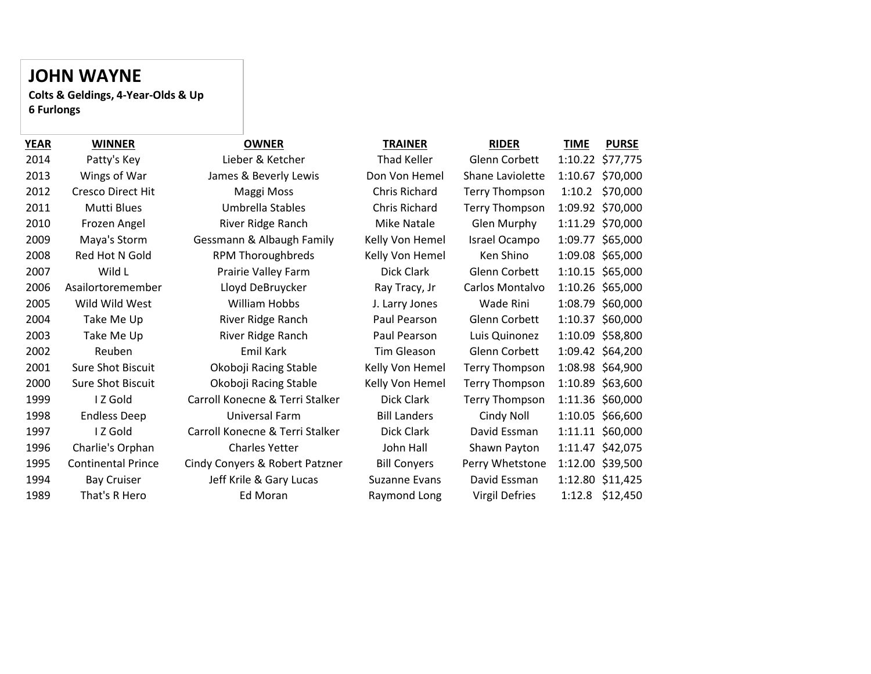## **JOHN WAYNE**

**Colts & Geldings, 4-Year-Olds & Up 6 Furlongs**

| YEAR | <b>WINNER</b>             | <b>OWNER</b>                    | <b>TRAINER</b>      | <b>RIDER</b>          | <b>PURSE</b><br><b>TIME</b> |
|------|---------------------------|---------------------------------|---------------------|-----------------------|-----------------------------|
| 2014 | Patty's Key               | Lieber & Ketcher                | Thad Keller         | Glenn Corbett         | 1:10.22 \$77,775            |
| 2013 | Wings of War              | James & Beverly Lewis           | Don Von Hemel       | Shane Laviolette      | 1:10.67 \$70,000            |
| 2012 | <b>Cresco Direct Hit</b>  | Maggi Moss                      | Chris Richard       | Terry Thompson        | \$70,000<br>1:10.2          |
| 2011 | Mutti Blues               | Umbrella Stables                | Chris Richard       | <b>Terry Thompson</b> | 1:09.92 \$70,000            |
| 2010 | Frozen Angel              | River Ridge Ranch               | <b>Mike Natale</b>  | Glen Murphy           | 1:11.29 \$70,000            |
| 2009 | Maya's Storm              | Gessmann & Albaugh Family       | Kelly Von Hemel     | Israel Ocampo         | 1:09.77 \$65,000            |
| 2008 | Red Hot N Gold            | <b>RPM Thoroughbreds</b>        | Kelly Von Hemel     | Ken Shino             | 1:09.08 \$65,000            |
| 2007 | Wild L                    | Prairie Valley Farm             | Dick Clark          | Glenn Corbett         | 1:10.15 \$65,000            |
| 2006 | Asailortoremember         | Lloyd DeBruycker                | Ray Tracy, Jr       | Carlos Montalvo       | 1:10.26 \$65,000            |
| 2005 | Wild Wild West            | William Hobbs                   | J. Larry Jones      | Wade Rini             | 1:08.79 \$60,000            |
| 2004 | Take Me Up                | River Ridge Ranch               | Paul Pearson        | Glenn Corbett         | 1:10.37 \$60,000            |
| 2003 | Take Me Up                | River Ridge Ranch               | Paul Pearson        | Luis Quinonez         | 1:10.09 \$58,800            |
| 2002 | Reuben                    | Emil Kark                       | Tim Gleason         | Glenn Corbett         | 1:09.42 \$64,200            |
| 2001 | <b>Sure Shot Biscuit</b>  | Okoboji Racing Stable           | Kelly Von Hemel     | Terry Thompson        | 1:08.98 \$64,900            |
| 2000 | <b>Sure Shot Biscuit</b>  | Okoboji Racing Stable           | Kelly Von Hemel     | <b>Terry Thompson</b> | 1:10.89 \$63,600            |
| 1999 | IZ Gold                   | Carroll Konecne & Terri Stalker | Dick Clark          | Terry Thompson        | 1:11.36 \$60,000            |
| 1998 | <b>Endless Deep</b>       | Universal Farm                  | <b>Bill Landers</b> | Cindy Noll            | 1:10.05 \$66,600            |
| 1997 | IZ Gold                   | Carroll Konecne & Terri Stalker | Dick Clark          | David Essman          | 1:11.11 \$60,000            |
| 1996 | Charlie's Orphan          | <b>Charles Yetter</b>           | John Hall           | Shawn Payton          | 1:11.47 \$42,075            |
| 1995 | <b>Continental Prince</b> | Cindy Conyers & Robert Patzner  | <b>Bill Conyers</b> | Perry Whetstone       | 1:12.00 \$39,500            |
| 1994 | <b>Bay Cruiser</b>        | Jeff Krile & Gary Lucas         | Suzanne Evans       | David Essman          | 1:12.80 \$11,425            |
| 1989 | That's R Hero             | Ed Moran                        | Raymond Long        | <b>Virgil Defries</b> | 1:12.8 \$12,450             |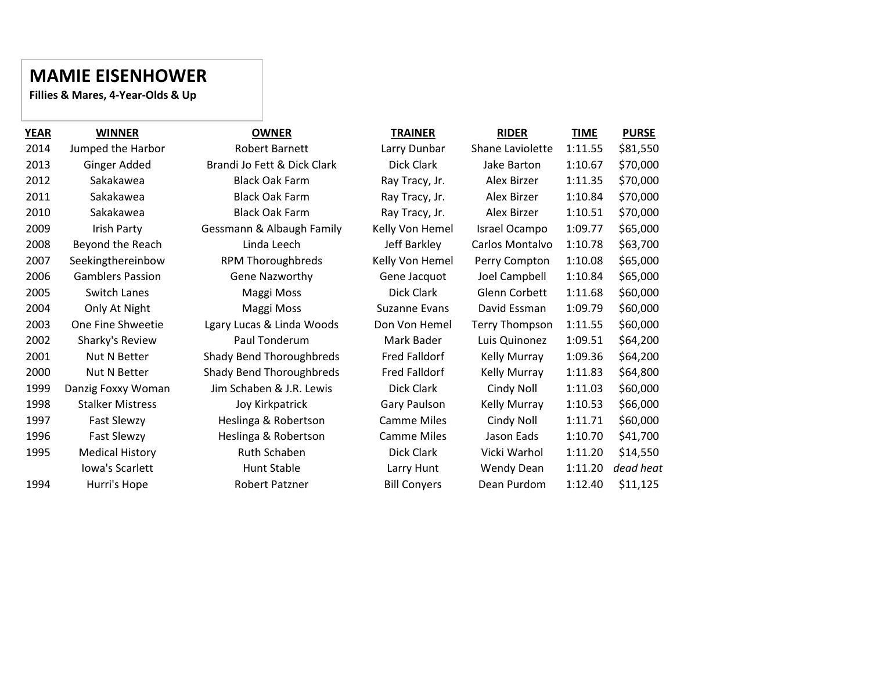### **MAMIE EISENHOWER**

**Fillies & Mares, 4-Year-Olds & Up**

| <b>YEAR</b> | <b>WINNER</b>           | <b>OWNER</b>                    | <b>TRAINER</b>      | <b>RIDER</b>          | <b>TIME</b> | <b>PURSE</b> |
|-------------|-------------------------|---------------------------------|---------------------|-----------------------|-------------|--------------|
| 2014        | Jumped the Harbor       | <b>Robert Barnett</b>           | Larry Dunbar        | Shane Laviolette      | 1:11.55     | \$81,550     |
| 2013        | Ginger Added            | Brandi Jo Fett & Dick Clark     | Dick Clark          | Jake Barton           | 1:10.67     | \$70,000     |
| 2012        | Sakakawea               | <b>Black Oak Farm</b>           | Ray Tracy, Jr.      | Alex Birzer           | 1:11.35     | \$70,000     |
| 2011        | Sakakawea               | <b>Black Oak Farm</b>           | Ray Tracy, Jr.      | Alex Birzer           | 1:10.84     | \$70,000     |
| 2010        | Sakakawea               | <b>Black Oak Farm</b>           | Ray Tracy, Jr.      | Alex Birzer           | 1:10.51     | \$70,000     |
| 2009        | Irish Party             | Gessmann & Albaugh Family       | Kelly Von Hemel     | Israel Ocampo         | 1:09.77     | \$65,000     |
| 2008        | Beyond the Reach        | Linda Leech                     | Jeff Barkley        | Carlos Montalvo       | 1:10.78     | \$63,700     |
| 2007        | Seekingthereinbow       | <b>RPM Thoroughbreds</b>        | Kelly Von Hemel     | Perry Compton         | 1:10.08     | \$65,000     |
| 2006        | <b>Gamblers Passion</b> | Gene Nazworthy                  | Gene Jacquot        | Joel Campbell         | 1:10.84     | \$65,000     |
| 2005        | Switch Lanes            | Maggi Moss                      | Dick Clark          | Glenn Corbett         | 1:11.68     | \$60,000     |
| 2004        | Only At Night           | Maggi Moss                      | Suzanne Evans       | David Essman          | 1:09.79     | \$60,000     |
| 2003        | One Fine Shweetie       | Lgary Lucas & Linda Woods       | Don Von Hemel       | <b>Terry Thompson</b> | 1:11.55     | \$60,000     |
| 2002        | Sharky's Review         | Paul Tonderum                   | Mark Bader          | Luis Quinonez         | 1:09.51     | \$64,200     |
| 2001        | Nut N Better            | <b>Shady Bend Thoroughbreds</b> | Fred Falldorf       | <b>Kelly Murray</b>   | 1:09.36     | \$64,200     |
| 2000        | Nut N Better            | <b>Shady Bend Thoroughbreds</b> | Fred Falldorf       | <b>Kelly Murray</b>   | 1:11.83     | \$64,800     |
| 1999        | Danzig Foxxy Woman      | Jim Schaben & J.R. Lewis        | Dick Clark          | Cindy Noll            | 1:11.03     | \$60,000     |
| 1998        | <b>Stalker Mistress</b> | Joy Kirkpatrick                 | <b>Gary Paulson</b> | <b>Kelly Murray</b>   | 1:10.53     | \$66,000     |
| 1997        | <b>Fast Slewzy</b>      | Heslinga & Robertson            | <b>Camme Miles</b>  | Cindy Noll            | 1:11.71     | \$60,000     |
| 1996        | Fast Slewzy             | Heslinga & Robertson            | <b>Camme Miles</b>  | Jason Eads            | 1:10.70     | \$41,700     |
| 1995        | <b>Medical History</b>  | Ruth Schaben                    | Dick Clark          | Vicki Warhol          | 1:11.20     | \$14,550     |
|             | Iowa's Scarlett         | Hunt Stable                     | Larry Hunt          | Wendy Dean            | 1:11.20     | dead heat    |
| 1994        | Hurri's Hope            | Robert Patzner                  | <b>Bill Conyers</b> | Dean Purdom           | 1:12.40     | \$11,125     |